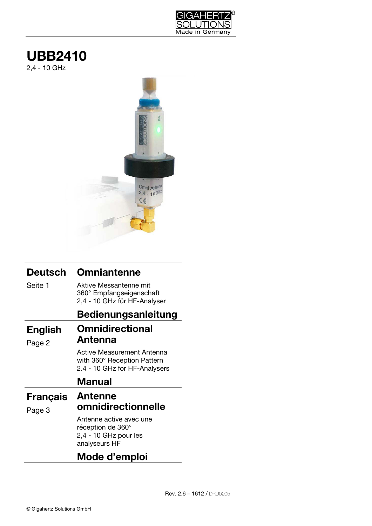

# **UBB2410**  2,4 - 10 GHz



#### **Deutsch Omniantenne**

#### Seite 1 Aktive Messantenne mit 360° Empfangseigenschaft 2,4 - 10 GHz für HF-Analyser

# **Bedienungsanleitung**

**English Omnidirectional** 

#### Page 2 **Antenna**

Active Measurement Antenna with 360° Reception Pattern 2.4 - 10 GHz for HF-Analysers

# **Manual**

#### **Français**  Page 3 **Antenne omnidirectionnelle**

Antenne active avec une réception de 360° 2,4 - 10 GHz pour les analyseurs HF

**Mode d'emploi**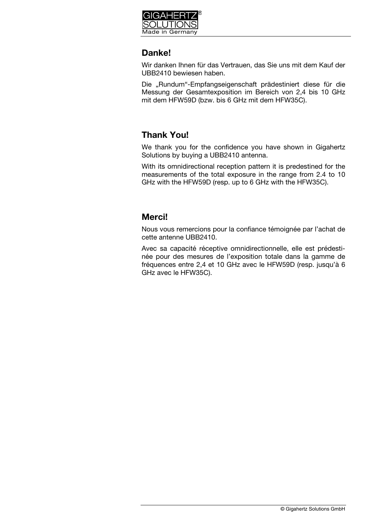

## **Danke!**

Wir danken Ihnen für das Vertrauen, das Sie uns mit dem Kauf der UBB2410 bewiesen haben.

Die "Rundum"-Empfangseigenschaft prädestiniert diese für die Messung der Gesamtexposition im Bereich von 2,4 bis 10 GHz mit dem HFW59D (bzw. bis 6 GHz mit dem HFW35C).

# **Thank You!**

We thank you for the confidence you have shown in Gigahertz Solutions by buying a UBB2410 antenna.

With its omnidirectional reception pattern it is predestined for the measurements of the total exposure in the range from 2.4 to 10 GHz with the HFW59D (resp. up to 6 GHz with the HFW35C).

## **Merci!**

Nous vous remercions pour la confiance témoignée par l'achat de cette antenne UBB2410.

Avec sa capacité réceptive omnidirectionnelle, elle est prédestinée pour des mesures de l'exposition totale dans la gamme de fréquences entre 2,4 et 10 GHz avec le HFW59D (resp. jusqu'à 6 GHz avec le HFW35C).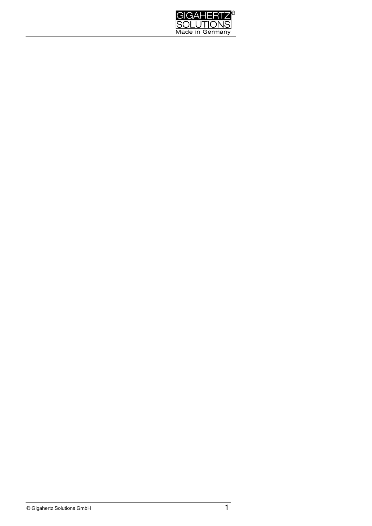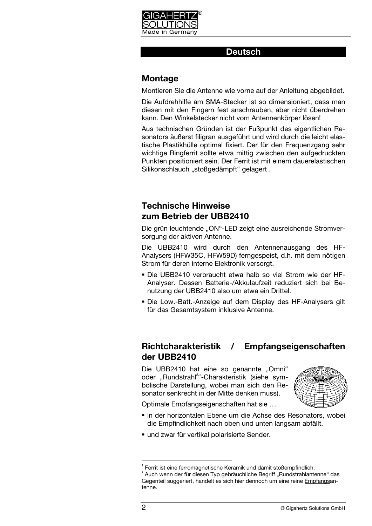

#### **Deutsch**

### **Montage**

Montieren Sie die Antenne wie vorne auf der Anleitung abgebildet.

Die Aufdrehhilfe am SMA-Stecker ist so dimensioniert, dass man diesen mit den Fingern fest anschrauben, aber nicht überdrehen kann. Den Winkelstecker nicht vom Antennenkörper lösen!

Aus technischen Gründen ist der Fußpunkt des eigentlichen Resonators äußerst filigran ausgeführt und wird durch die leicht elastische Plastikhülle optimal fixiert. Der für den Frequenzgang sehr wichtige Ringferrit sollte etwa mittig zwischen den aufgedruckten Punkten positioniert sein. Der Ferrit ist mit einem dauerelastischen Silikonschlauch "stoßgedämpft" gelagert<sup>1</sup>.

## **Technische Hinweise zum Betrieb der UBB2410**

Die grün leuchtende "ON"-LED zeigt eine ausreichende Stromversorgung der aktiven Antenne.

Die UBB2410 wird durch den Antennenausgang des HF-Analysers (HFW35C, HFW59D) ferngespeist, d.h. mit dem nötigen Strom für deren interne Elektronik versorgt.

- Die UBB2410 verbraucht etwa halb so viel Strom wie der HF-Analyser. Dessen Batterie-/Akkulaufzeit reduziert sich bei Benutzung der UBB2410 also um etwa ein Drittel.
- Die Low.-Batt.-Anzeige auf dem Display des HF-Analysers gilt für das Gesamtsystem inklusive Antenne.

## **Richtcharakteristik / Empfangseigenschaften der UBB2410**

Die UBB2410 hat eine so genannte "Omni" oder "Rundstrahl<sup>2</sup>"-Charakteristik (siehe symbolische Darstellung, wobei man sich den Resonator senkrecht in der Mitte denken muss).



Optimale Empfangseigenschaften hat sie …

- in der horizontalen Ebene um die Achse des Resonators, wobei die Empfindlichkeit nach oben und unten langsam abfällt.
- und zwar für vertikal polarisierte Sender.

1

 $1$  Ferrit ist eine ferromagnetische Keramik und damit stoßempfindlich.

<sup>&</sup>lt;sup>2</sup> Auch wenn der für diesen Typ gebräuchliche Begriff "Rundstrahlantenne" das Gegenteil suggeriert, handelt es sich hier dennoch um eine reine Empfangsantenne.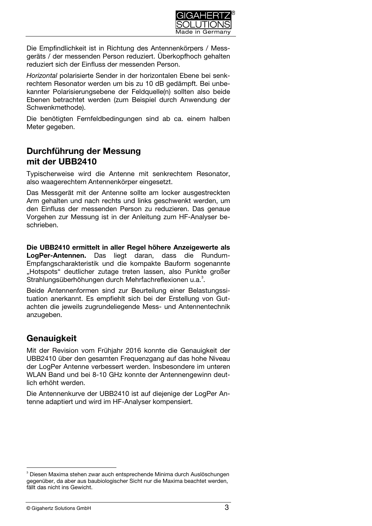

Die Empfindlichkeit ist in Richtung des Antennenkörpers / Messgeräts / der messenden Person reduziert. Überkopfhoch gehalten reduziert sich der Einfluss der messenden Person.

*Horizontal* polarisierte Sender in der horizontalen Ebene bei senkrechtem Resonator werden um bis zu 10 dB gedämpft. Bei unbekannter Polarisierungsebene der Feldquelle(n) sollten also beide Ebenen betrachtet werden (zum Beispiel durch Anwendung der Schwenkmethode).

Die benötigten Fernfeldbedingungen sind ab ca. einem halben Meter gegeben.

## **Durchführung der Messung mit der UBB2410**

Typischerweise wird die Antenne mit senkrechtem Resonator, also waagerechtem Antennenkörper eingesetzt.

Das Messgerät mit der Antenne sollte am locker ausgestreckten Arm gehalten und nach rechts und links geschwenkt werden, um den Einfluss der messenden Person zu reduzieren. Das genaue Vorgehen zur Messung ist in der Anleitung zum HF-Analyser beschrieben.

**Die UBB2410 ermittelt in aller Regel höhere Anzeigewerte als LogPer-Antennen.** Das liegt daran, dass die Rundum-Empfangscharakteristik und die kompakte Bauform sogenannte "Hotspots" deutlicher zutage treten lassen, also Punkte großer Strahlungsüberhöhungen durch Mehrfachreflexionen u.a.<sup>3</sup>.

Beide Antennenformen sind zur Beurteilung einer Belastungssituation anerkannt. Es empfiehlt sich bei der Erstellung von Gutachten die jeweils zugrundeliegende Mess- und Antennentechnik anzugeben.

## **Genauigkeit**

Mit der Revision vom Frühjahr 2016 konnte die Genauigkeit der UBB2410 über den gesamten Frequenzgang auf das hohe Niveau der LogPer Antenne verbessert werden. Insbesondere im unteren WLAN Band und bei 8-10 GHz konnte der Antennengewinn deutlich erhöht werden.

Die Antennenkurve der UBB2410 ist auf diejenige der LogPer Antenne adaptiert und wird im HF-Analyser kompensiert.

 $\overline{a}$ 

 $3$  Diesen Maxima stehen zwar auch entsprechende Minima durch Auslöschungen gegenüber, da aber aus baubiologischer Sicht nur die Maxima beachtet werden, fällt das nicht ins Gewicht.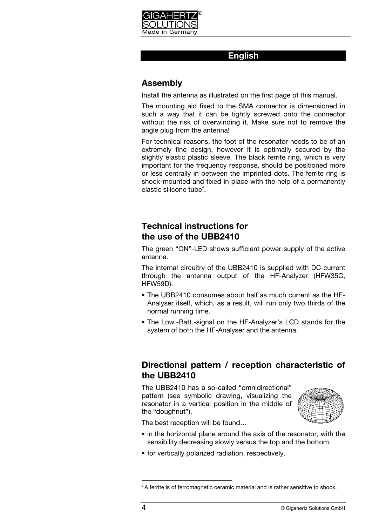

#### **English**

### **Assembly**

Install the antenna as illustrated on the first page of this manual.

The mounting aid fixed to the SMA connector is dimensioned in such a way that it can be tightly screwed onto the connector without the risk of overwinding it. Make sure not to remove the angle plug from the antenna!

For technical reasons, the foot of the resonator needs to be of an extremely fine design, however it is optimally secured by the slightly elastic plastic sleeve. The black ferrite ring, which is very important for the frequency response, should be positioned more or less centrally in between the imprinted dots. The ferrite ring is shock-mounted and fixed in place with the help of a permanently elastic silicone tube<sup>4</sup>.

## **Technical instructions for the use of the UBB2410**

The green "ON"-LED shows sufficient power supply of the active antenna.

The internal circuitry of the UBB2410 is supplied with DC current through the antenna output of the HF-Analyzer (HFW35C, HFW59D).

- The UBB2410 consumes about half as much current as the HF-Analyser itself, which, as a result, will run only two thirds of the normal running time.
- The Low.-Batt.-signal on the HF-Analyzer's LCD stands for the system of both the HF-Analyser and the antenna.

## **Directional pattern / reception characteristic of the UBB2410**

The UBB2410 has a so-called "omnidirectional" pattern (see symbolic drawing, visualizing the resonator in a vertical position in the middle of the "doughnut").



The best reception will be found…

- $\blacksquare$  in the horizontal plane around the axis of the resonator, with the sensibility decreasing slowly versus the top and the bottom.
- **for vertically polarized radiation, respectively.**

<sup>1</sup> <sup>4</sup> A ferrite is of ferromagnetic ceramic material and is rather sensitive to shock.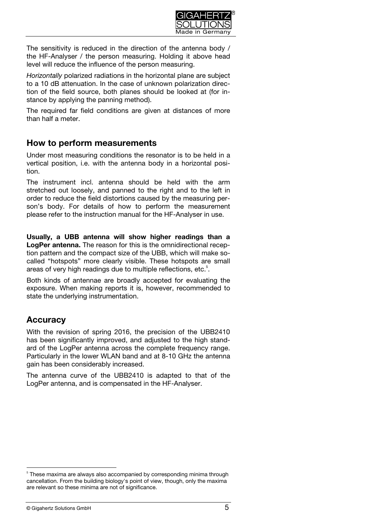

The sensitivity is reduced in the direction of the antenna body / the HF-Analyser / the person measuring. Holding it above head level will reduce the influence of the person measuring.

*Horizontally* polarized radiations in the horizontal plane are subject to a 10 dB attenuation. In the case of unknown polarization direction of the field source, both planes should be looked at (for instance by applying the panning method).

The required far field conditions are given at distances of more than half a meter.

### **How to perform measurements**

Under most measuring conditions the resonator is to be held in a vertical position, i.e. with the antenna body in a horizontal position.

The instrument incl. antenna should be held with the arm stretched out loosely, and panned to the right and to the left in order to reduce the field distortions caused by the measuring person's body. For details of how to perform the measurement please refer to the instruction manual for the HF-Analyser in use.

**Usually, a UBB antenna will show higher readings than a LogPer antenna.** The reason for this is the omnidirectional reception pattern and the compact size of the UBB, which will make socalled "hotspots" more clearly visible. These hotspots are small areas of very high readings due to multiple reflections, etc.<sup>5</sup>.

Both kinds of antennae are broadly accepted for evaluating the exposure. When making reports it is, however, recommended to state the underlying instrumentation.

### **Accuracy**

With the revision of spring 2016, the precision of the UBB2410 has been significantly improved, and adjusted to the high standard of the LogPer antenna across the complete frequency range. Particularly in the lower WLAN band and at 8-10 GHz the antenna gain has been considerably increased.

The antenna curve of the UBB2410 is adapted to that of the LogPer antenna, and is compensated in the HF-Analyser.

 $\overline{a}$ 

<sup>&</sup>lt;sup>5</sup> These maxima are always also accompanied by corresponding minima through cancellation. From the building biology's point of view, though, only the maxima are relevant so these minima are not of significance.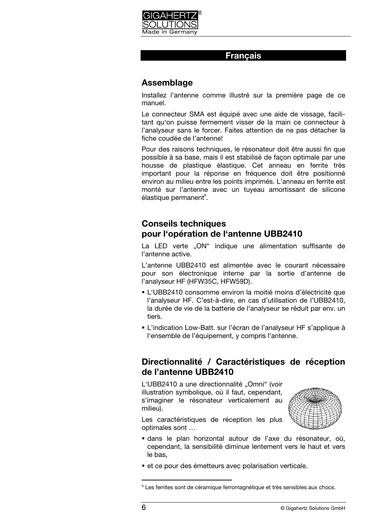

#### **Français**

### **Assemblage**

Installez l'antenne comme illustré sur la première page de ce manuel.

Le connecteur SMA est équipé avec une aide de vissage, facilitant qu'on puisse fermement visser de la main ce connecteur à l'analyseur sans le forcer. Faites attention de ne pas détacher la fiche coudée de l'antenne!

Pour des raisons techniques, le résonateur doit être aussi fin que possible à sa base, mais il est stabilisé de façon optimale par une housse de plastique élastique. Cet anneau en ferrite très important pour la réponse en fréquence doit être positionné environ au milieu entre les points imprimés. L'anneau en ferrite est monté sur l'antenne avec un tuyeau amortissant de silicone élastique permanent<sup>6</sup>.

## **Conseils techniques pour l'opération de l'antenne UBB2410**

La LED verte "ON" indique une alimentation suffisante de l'antenne active.

L'antenne UBB2410 est alimentée avec le courant nécessaire pour son électronique interne par la sortie d'antenne de l'analyseur HF (HFW35C, HFW59D).

- L'UBB2410 consomme environ la moitié moins d'électricité que l'analyseur HF. C'est-à-dire, en cas d'utilisation de l'UBB2410, la durée de vie de la batterie de l'analyseur se réduit par env. un tiers.
- L'indication Low-Batt. sur l'écran de l'analyseur HF s'applique à l'ensemble de l'équipement, y compris l'antenne.

## **Directionnalité / Caractéristiques de réception de l'antenne UBB2410**

L'UBB2410 a une directionnalité "Omni" (voir illustration symbolique, où il faut, cependant, s'imaginer le résonateur verticalement au milieu).



Les caractéristiques de réception les plus optimales sont …

- dans le plan horizontal autour de l'axe du résonateur, où, cependant, la sensibilité diminue lentement vers le haut et vers le bas,
- et ce pour des émetteurs avec polarisation verticale.

1

 $6$  Les ferrites sont de céramique ferromagnétique et très sensibles aux chocs.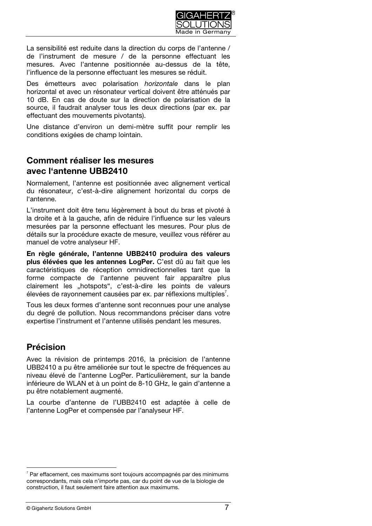

La sensibilité est reduite dans la direction du corps de l'antenne / de l'instrument de mesure / de la personne effectuant les mesures. Avec l'antenne positionnée au-dessus de la tête, l'influence de la personne effectuant les mesures se réduit.

Des émetteurs avec polarisation *horizontale* dans le plan horizontal et avec un résonateur vertical doivent être atténués par 10 dB. En cas de doute sur la direction de polarisation de la source, il faudrait analyser tous les deux directions (par ex. par effectuant des mouvements pivotants).

Une distance d'environ un demi-mètre suffit pour remplir les conditions exigées de champ lointain.

## **Comment réaliser les mesures avec l'antenne UBB2410**

Normalement, l'antenne est positionnée avec alignement vertical du résonateur, c'est-à-dire alignement horizontal du corps de l'antenne.

L'instrument doit être tenu légèrement à bout du bras et pivoté à la droite et à la gauche, afin de réduire l'influence sur les valeurs mesurées par la personne effectuant les mesures. Pour plus de détails sur la procédure exacte de mesure, veuillez vous référer au manuel de votre analyseur HF.

**En règle générale, l'antenne UBB2410 produira des valeurs plus élévées que les antennes LogPer.** C'est dû au fait que les caractéristiques de réception omnidirectionnelles tant que la forme compacte de l'antenne peuvent fair apparaître plus clairement les "hotspots", c'est-à-dire les points de valeurs élevées de rayonnement causées par ex. par réflexions multiples<sup>7</sup>.

Tous les deux formes d'antenne sont reconnues pour une analyse du degré de pollution. Nous recommandons préciser dans votre expertise l'instrument et l'antenne utilisés pendant les mesures.

## **Précision**

Avec la révision de printemps 2016, la précision de l'antenne UBB2410 a pu être améliorée sur tout le spectre de fréquences au niveau élevé de l'antenne LogPer. Particulièrement, sur la bande inférieure de WLAN et à un point de 8-10 GHz, le gain d'antenne a pu être notablement augmenté.

La courbe d'antenne de l'UBB2410 est adaptée à celle de l'antenne LogPer et compensée par l'analyseur HF.

 $\overline{a}$ 

 $7$  Par effacement, ces maximums sont toujours accompagnés par des minimums correspondants, mais cela n'importe pas, car du point de vue de la biologie de construction, il faut seulement faire attention aux maximums.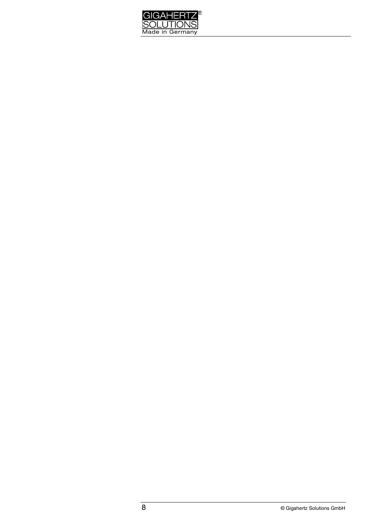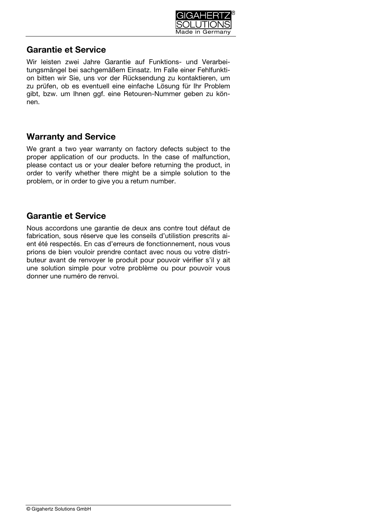

## **Garantie et Service**

Wir leisten zwei Jahre Garantie auf Funktions- und Verarbeitungsmängel bei sachgemäßem Einsatz. Im Falle einer Fehlfunktion bitten wir Sie, uns vor der Rücksendung zu kontaktieren, um zu prüfen, ob es eventuell eine einfache Lösung für Ihr Problem gibt, bzw. um Ihnen ggf. eine Retouren-Nummer geben zu können.

## **Warranty and Service**

We grant a two year warranty on factory defects subject to the proper application of our products. In the case of malfunction, please contact us or your dealer before returning the product, in order to verify whether there might be a simple solution to the problem, or in order to give you a return number.

## **Garantie et Service**

Nous accordons une garantie de deux ans contre tout défaut de fabrication, sous réserve que les conseils d'utilistion prescrits aient été respectés. En cas d'erreurs de fonctionnement, nous vous prions de bien vouloir prendre contact avec nous ou votre distributeur avant de renvoyer le produit pour pouvoir vérifier s'il y ait une solution simple pour votre problème ou pour pouvoir vous donner une numéro de renvoi.